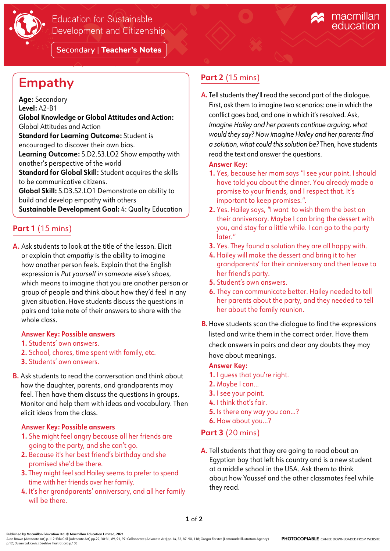

Secondary | **Teacher's Notes**

# **Empathy**

**Age:** Secondary **Level:** A2-B1 **Global Knowledge or Global Attitudes and Action:**  Global Attitudes and Action **Standard for Learning Outcome:** Student is encouraged to discover their own bias. **Learning Outcome:** S.D2.S3.LO2 Show empathy with another's perspective of the world **Standard for Global Skill:** Student acquires the skills to be communicative citizens. **Global Skill:** S.D3.S2.LO1 Demonstrate an ability to build and develop empathy with others **Sustainable Development Goal:** 4: Quality Education

## **Part 1** (15 mins)

**A.** Ask students to look at the title of the lesson. Elicit or explain that *empathy* is the ability to imagine how another person feels. Explain that the English expression is *Put yourself in someone else's shoes*, which means to imagine that you are another person or group of people and think about how they'd feel in any given situation. Have students discuss the questions in pairs and take note of their answers to share with the whole class.

#### **Answer Key: Possible answers**

- **1.** Students' own answers.
- **2.** School, chores, time spent with family, etc.
- **3.** Students' own answers.
- **B.** Ask students to read the conversation and think about how the daughter, parents, and grandparents may feel. Then have them discuss the questions in groups. Monitor and help them with ideas and vocabulary. Then elicit ideas from the class.

#### **Answer Key: Possible answers**

- **1.** She might feel angry because all her friends are going to the party, and she can't go.
- **2.** Because it's her best friend's birthday and she promised she'd be there.
- **3.** They might feel sad Hailey seems to prefer to spend time with her friends over her family.
- **4.** It's her grandparents' anniversary, and all her family will be there.

# **Part 2** (15 mins)

**A.** Tell students they'll read the second part of the dialogue. First, ask them to imagine two scenarios: one in which the conflict goes bad, and one in which it's resolved. Ask, *Imagine Hailey and her parents continue arguing, what would they say? Now imagine Hailey and her parents find a solution, what could this solution be?* Then, have students read the text and answer the questions.

#### **Answer Key:**

- **1.** Yes, because her mom says *"*I see your point. I should have told you about the dinner. You already made a promise to your friends, and I respect that. It's important to keep promises.*"*.
- **2.** Yes. Hailey says, *"*I want to wish them the best on their anniversary. Maybe I can bring the dessert with you, and stay for a little while. I can go to the party later.*"*
- **3.** Yes. They found a solution they are all happy with.
- **4.** Hailey will make the dessert and bring it to her grandparents' for their anniversary and then leave to her friend's party.
- **5.** Student's own answers.
- **6.** They can communicate better. Hailey needed to tell her parents about the party, and they needed to tell her about the family reunion.
- **B.** Have students scan the dialogue to find the expressions listed and write them in the correct order. Have them check answers in pairs and clear any doubts they may have about meanings.

### **Answer Key:**

- **1.** I guess that you're right.
- **2.** Maybe I can...
- **3.** I see your point.
- **4.** I think that's fair.
- **5.** Is there any way you can...?
- **6.** How about you...?

### **Part 3** (20 mins)

**A.** Tell students that they are going to read about an Egyptian boy that left his country and is a new student at a middle school in the USA. Ask them to think about how Youssef and the other classmates feel while they read.

Alan Brown (Advocate Art) p.112; Edu Coll (Advocate Art) pp.22, 30-31, 89, 91, 97; Collaborate (Advocate Art) pp.14, 52, 87, 90, 118; Gregor Forster (Lemonade Illustration Agency)<br>p.12; Dusan Lakicevic (Beehive Illustratio **PHOTOCOPIABLE** CAN BE DOWNLOADED FROM WEBSITE